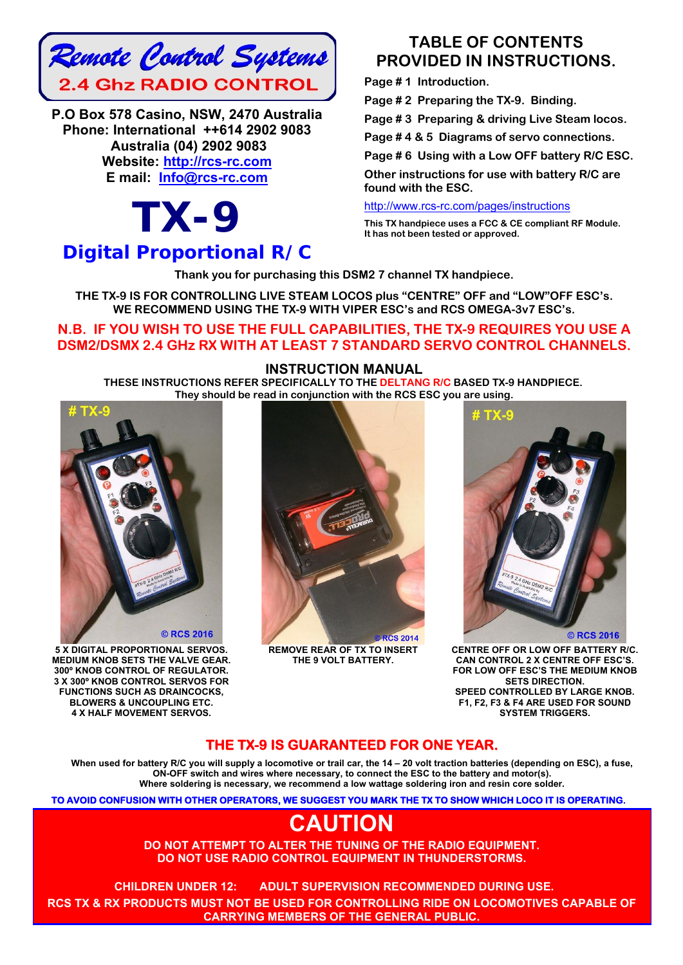

**P.O Box 578 Casino, NSW, 2470 Australia Phone: International ++614 2902 9083 Australia (04) 2902 9083 Website: http://rcs-rc.com E mail: Info@rcs-rc.com**

# *TX-9 Digital Proportional R/C*

## **TABLE OF CONTENTS PROVIDED IN INSTRUCTIONS.**

**Page # 1 Introduction.** 

**Page # 2 Preparing the TX-9. Binding.** 

**Page # 3 Preparing & driving Live Steam locos.** 

**Page # 4 & 5 Diagrams of servo connections.** 

**Page # 6 Using with a Low OFF battery R/C ESC.** 

**Other instructions for use with battery R/C are found with the ESC.** 

http://www.rcs-rc.com/pages/instructions

**This TX handpiece uses a FCC & CE compliant RF Module. It has not been tested or approved.** 

**Thank you for purchasing this DSM2 7 channel TX handpiece.** 

**THE TX-9 IS FOR CONTROLLING LIVE STEAM LOCOS plus "CENTRE" OFF and "LOW"OFF ESC's. WE RECOMMEND USING THE TX-9 WITH VIPER ESC's and RCS OMEGA-3v7 ESC's.** 

### **N.B. IF YOU WISH TO USE THE FULL CAPABILITIES, THE TX-9 REQUIRES YOU USE A DSM2/DSMX 2.4 GHz RX WITH AT LEAST 7 STANDARD SERVO CONTROL CHANNELS.**

#### **INSTRUCTION MANUAL**

**THESE INSTRUCTIONS REFER SPECIFICALLY TO THE DELTANG R/C BASED TX-9 HANDPIECE. They should be read in conjunction with the RCS ESC you are using.**



**5 X DIGITAL PROPORTIONAL SERVOS. MEDIUM KNOB SETS THE VALVE GEAR. 300º KNOB CONTROL OF REGULATOR. 3 X 300º KNOB CONTROL SERVOS FOR FUNCTIONS SUCH AS DRAINCOCKS, BLOWERS & UNCOUPLING ETC. 4 X HALF MOVEMENT SERVOS.** 



**REMOVE REAR OF TX TO INSERT THE 9 VOLT BATTERY.**



**CENTRE OFF OR LOW OFF BATTERY R/C. CAN CONTROL 2 X CENTRE OFF ESC'S. FOR LOW OFF ESC'S THE MEDIUM KNOB SETS DIRECTION. SPEED CONTROLLED BY LARGE KNOB. F1, F2, F3 & F4 ARE USED FOR SOUND SYSTEM TRIGGERS.**

## **THE TX-9 IS GUARANTEED FOR ONE YEAR.**

**When used for battery R/C you will supply a locomotive or trail car, the 14 – 20 volt traction batteries (depending on ESC), a fuse, ON-OFF switch and wires where necessary, to connect the ESC to the battery and motor(s). Where soldering is necessary, we recommend a low wattage soldering iron and resin core solder.** 

**TO AVOID CONFUSION WITH OTHER OPERATORS, WE SUGGEST YOU MARK THE TX TO SHOW WHICH LOCO IT IS OPERATING.** 

## **CAUTION**

**DO NOT ATTEMPT TO ALTER THE TUNING OF THE RADIO EQUIPMENT. DO NOT USE RADIO CONTROL EQUIPMENT IN THUNDERSTORMS.** 

**CHILDREN UNDER 12: ADULT SUPERVISION RECOMMENDED DURING USE.**!! **RCS TX & RX PRODUCTS MUST NOT BE USED FOR CONTROLLING RIDE ON LOCOMOTIVES CAPABLE OF CARRYING MEMBERS OF THE GENERAL PUBLIC.**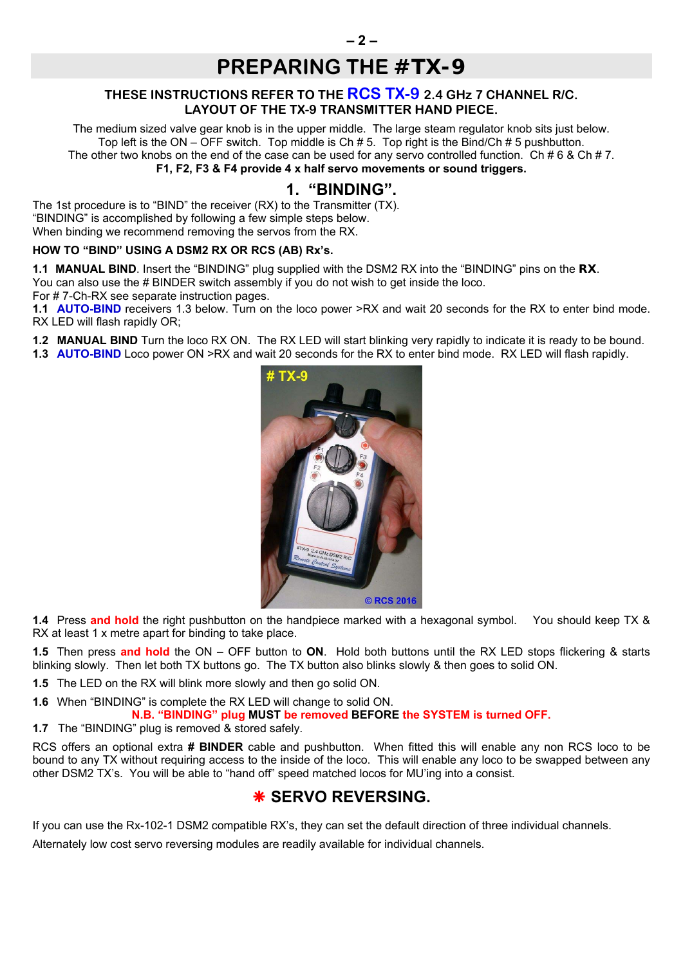## **PREPARING THE** *#TX-9*

#### **THESE INSTRUCTIONS REFER TO THE RCS TX-9 2.4 GHz 7 CHANNEL R/C. LAYOUT OF THE TX-9 TRANSMITTER HAND PIECE.**

The medium sized valve gear knob is in the upper middle. The large steam regulator knob sits just below. Top left is the ON – OFF switch. Top middle is Ch # 5. Top right is the Bind/Ch # 5 pushbutton. The other two knobs on the end of the case can be used for any servo controlled function. Ch #  $6 \& Ch$  # 7. **F1, F2, F3 & F4 provide 4 x half servo movements or sound triggers.**

### **1. "BINDING".**

The 1st procedure is to "BIND" the receiver (RX) to the Transmitter (TX). "BINDING" is accomplished by following a few simple steps below. When binding we recommend removing the servos from the RX.

#### **HOW TO "BIND" USING A DSM2 RX OR RCS (AB) Rx's.**

**1.1 MANUAL BIND**. Insert the "BINDING" plug supplied with the DSM2 RX into the "BINDING" pins on the *RX*. You can also use the # BINDER switch assembly if you do not wish to get inside the loco.

For # 7-Ch-RX see separate instruction pages.

**1.1 AUTO-BIND** receivers 1.3 below. Turn on the loco power >RX and wait 20 seconds for the RX to enter bind mode. RX LED will flash rapidly OR;

**1.2 MANUAL BIND** Turn the loco RX ON. The RX LED will start blinking very rapidly to indicate it is ready to be bound.

**1.3 AUTO-BIND** Loco power ON >RX and wait 20 seconds for the RX to enter bind mode. RX LED will flash rapidly.



**1.4** Press **and hold** the right pushbutton on the handpiece marked with a hexagonal symbol. You should keep TX & RX at least 1 x metre apart for binding to take place.

**1.5** Then press **and hold** the ON – OFF button to **ON**. Hold both buttons until the RX LED stops flickering & starts blinking slowly. Then let both TX buttons go. The TX button also blinks slowly & then goes to solid ON.

**1.5** The LED on the RX will blink more slowly and then go solid ON.

**1.6** When "BINDING" is complete the RX LED will change to solid ON.

**N.B. "BINDING" plug MUST be removed BEFORE the SYSTEM is turned OFF.** 

**1.7** The "BINDING" plug is removed & stored safely.

RCS offers an optional extra **# BINDER** cable and pushbutton. When fitted this will enable any non RCS loco to be bound to any TX without requiring access to the inside of the loco. This will enable any loco to be swapped between any other DSM2 TX's. You will be able to "hand off" speed matched locos for MU'ing into a consist.

## $*$  **SERVO REVERSING.**

If you can use the Rx-102-1 DSM2 compatible RX's, they can set the default direction of three individual channels.

Alternately low cost servo reversing modules are readily available for individual channels.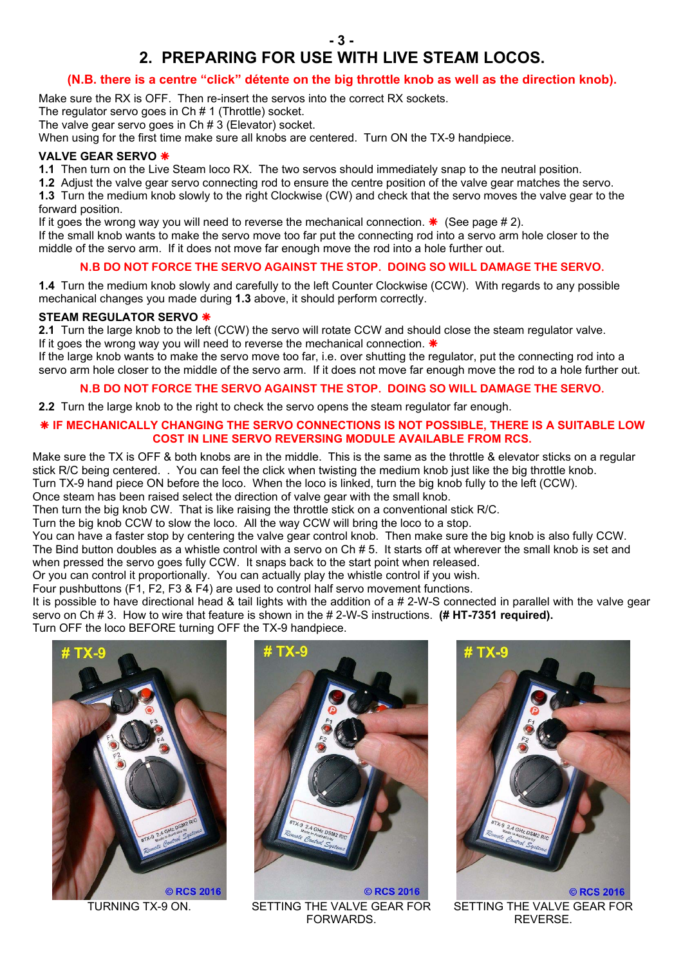## **2. PREPARING FOR USE WITH LIVE STEAM LOCOS.**

#### **(N.B. there is a centre "click" détente on the big throttle knob as well as the direction knob).**

Make sure the RX is OFF. Then re-insert the servos into the correct RX sockets.

The regulator servo goes in Ch # 1 (Throttle) socket.

The valve gear servo goes in Ch # 3 (Elevator) socket.

When using for the first time make sure all knobs are centered. Turn ON the TX-9 handpiece.

#### **VALVE GEAR SERVO**

**1.1** Then turn on the Live Steam loco RX. The two servos should immediately snap to the neutral position.

**1.2** Adjust the valve gear servo connecting rod to ensure the centre position of the valve gear matches the servo. **1.3** Turn the medium knob slowly to the right Clockwise (CW) and check that the servo moves the valve gear to the forward position.

If it goes the wrong way you will need to reverse the mechanical connection.  $*$  (See page # 2).

If the small knob wants to make the servo move too far put the connecting rod into a servo arm hole closer to the middle of the servo arm. If it does not move far enough move the rod into a hole further out.

#### **N.B DO NOT FORCE THE SERVO AGAINST THE STOP. DOING SO WILL DAMAGE THE SERVO.**

**1.4** Turn the medium knob slowly and carefully to the left Counter Clockwise (CCW). With regards to any possible mechanical changes you made during **1.3** above, it should perform correctly.

#### **STEAM REGULATOR SERVO**

**2.1** Turn the large knob to the left (CCW) the servo will rotate CCW and should close the steam regulator valve. If it goes the wrong way you will need to reverse the mechanical connection.  $*$ 

If the large knob wants to make the servo move too far, i.e. over shutting the regulator, put the connecting rod into a servo arm hole closer to the middle of the servo arm. If it does not move far enough move the rod to a hole further out.

#### **N.B DO NOT FORCE THE SERVO AGAINST THE STOP. DOING SO WILL DAMAGE THE SERVO.**

**2.2** Turn the large knob to the right to check the servo opens the steam regulator far enough.

#### **IF MECHANICALLY CHANGING THE SERVO CONNECTIONS IS NOT POSSIBLE, THERE IS A SUITABLE LOW COST IN LINE SERVO REVERSING MODULE AVAILABLE FROM RCS.**

Make sure the TX is OFF & both knobs are in the middle. This is the same as the throttle & elevator sticks on a regular stick R/C being centered. . You can feel the click when twisting the medium knob just like the big throttle knob. Turn TX-9 hand piece ON before the loco. When the loco is linked, turn the big knob fully to the left (CCW).

Once steam has been raised select the direction of valve gear with the small knob.

Then turn the big knob CW. That is like raising the throttle stick on a conventional stick R/C.

Turn the big knob CCW to slow the loco. All the way CCW will bring the loco to a stop.

You can have a faster stop by centering the valve gear control knob. Then make sure the big knob is also fully CCW. The Bind button doubles as a whistle control with a servo on Ch # 5. It starts off at wherever the small knob is set and when pressed the servo goes fully CCW. It snaps back to the start point when released.

Or you can control it proportionally. You can actually play the whistle control if you wish.

Four pushbuttons (F1, F2, F3 & F4) are used to control half servo movement functions.

It is possible to have directional head & tail lights with the addition of a # 2-W-S connected in parallel with the valve gear servo on Ch # 3. How to wire that feature is shown in the # 2-W-S instructions. **(# HT-7351 required).** Turn OFF the loco BEFORE turning OFF the TX-9 handpiece.





TURNING TX-9 ON. SETTING THE VALVE GEAR FOR FORWARDS.



SETTING THE VALVE GEAR FOR REVERSE.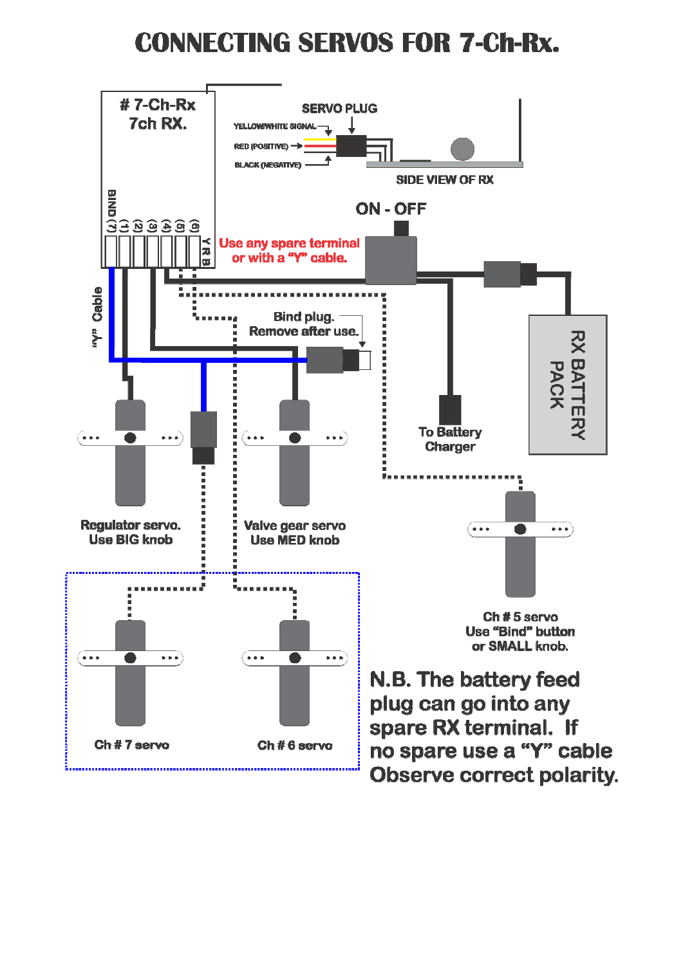# **CONNECTING SERVOS FOR 7-Ch-Rx.**

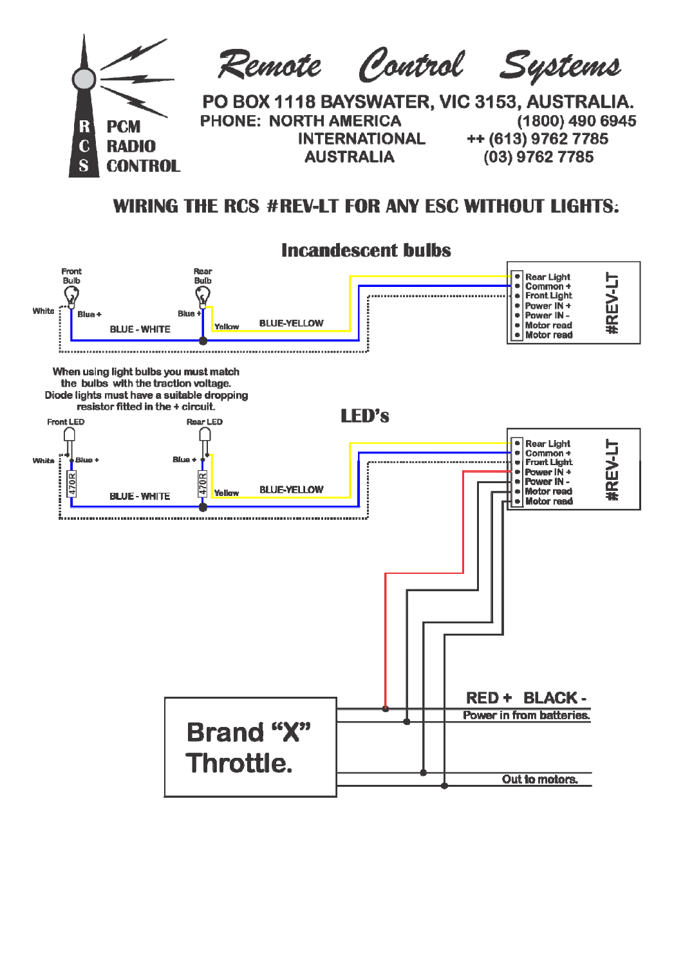

## WIRING THE RCS #REV-LT FOR ANY ESC WITHOUT LIGHTS: